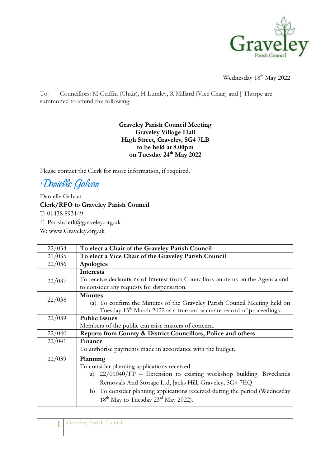

Wednesday 18<sup>th</sup> May 2022

To: Councillors: M Griffin (Chair), H Lumley, R Millard (Vice Chair) and J Thorpe are summoned to attend the following:

## Graveley Parish Council Meeting Graveley Village Hall High Street, Graveley, SG4 7LB to be held at 8.00pm on Tuesday 24<sup>th</sup> May 2022

Please contact the Clerk for more information, if required.

Danielle Galvan

Danielle Galvan Clerk/RFO to Graveley Parish Council T: 01438 893149 E: Parishclerk@graveley.org.uk W: www.Graveley.org.uk

| 22/034 | To elect a Chair of the Graveley Parish Council                                   |
|--------|-----------------------------------------------------------------------------------|
| 21/035 | To elect a Vice Chair of the Graveley Parish Council                              |
| 22/036 | Apologies                                                                         |
|        | Interests                                                                         |
| 22/037 | To receive declarations of Interest from Councillors on items on the Agenda and   |
|        | to consider any requests for dispensation.                                        |
|        | <b>Minutes</b>                                                                    |
| 22/038 | (a) To confirm the Minutes of the Graveley Parish Council Meeting held on         |
|        | Tuesday 15 <sup>th</sup> March 2022 as a true and accurate record of proceedings. |
| 22/039 | <b>Public Issues</b>                                                              |
|        | Members of the public can raise matters of concern.                               |
| 22/040 | Reports from County & District Councillors, Police and others                     |
| 22/041 | Finance                                                                           |
|        | To authorise payments made in accordance with the budget.                         |
| 22/039 | Planning                                                                          |
|        | To consider planning applications received.                                       |
|        | a) $22/01040/FP$ – Extension to existing workshop building. Brycelands            |
|        | Removals And Storage Ltd, Jacks Hill, Graveley, SG4 7EQ                           |
|        | b) To consider planning applications received during the period (Wednesday        |
|        | $18^{th}$ May to Tuesday $23^{rd}$ May 2022).                                     |
|        |                                                                                   |